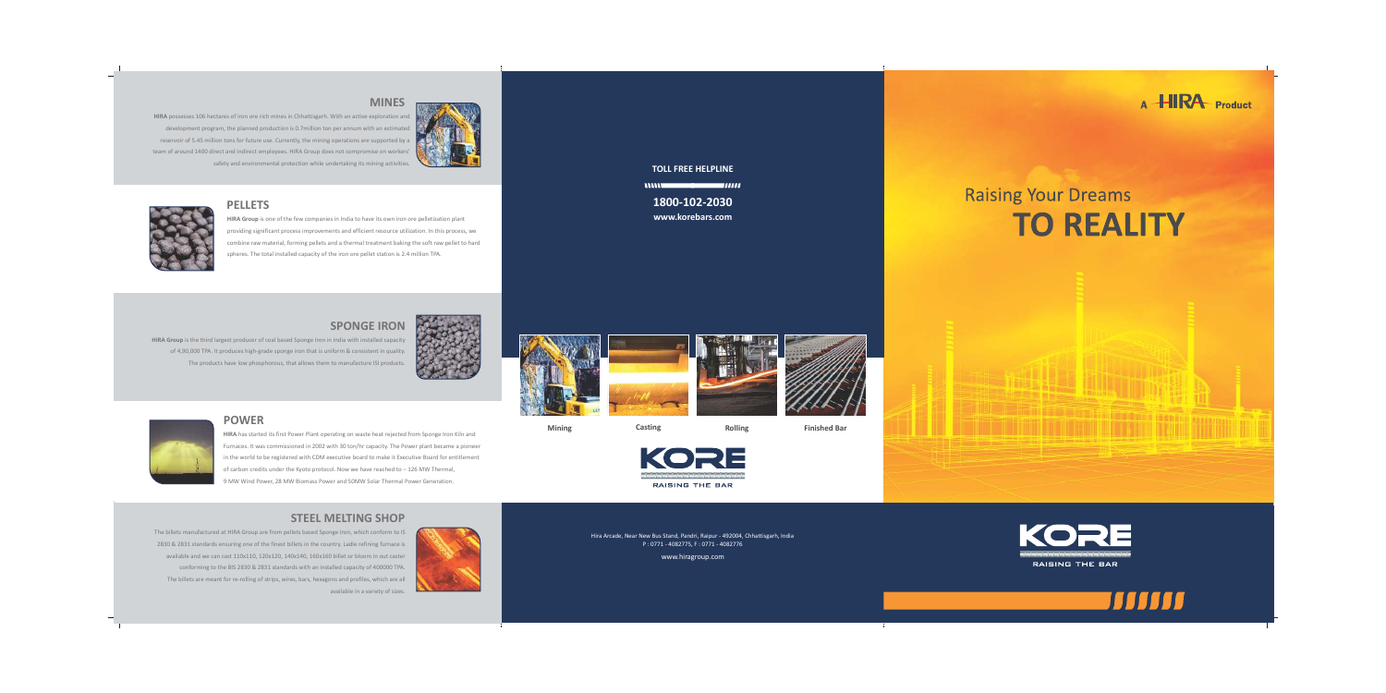## **MINES**

**HIRA** possesses 106 hectares of iron ore rich mines in Chhattisgarh. With an active exploration and development program, the planned production is 0.7million ton per annum with an estimated reservoir of 5.45 million tons for future use. Currently, the mining operations are supported by a team of around 1400 direct and indirect employees. HIRA Group does not compromise on workers' safety and environmental protection while undertaking its mining activities.





## **PELLETS**

**HIRA Group** is one of the few companies in India to have its own iron ore pelletization plant providing significant process improvements and efficient resource utilization. In this process, we combine raw material, forming pellets and a thermal treatment baking the soft raw pellet to hard spheres. The total installed capacity of the iron ore pellet station is 2.4 million TPA.

# **SPONGE IRON**

**HIRA Group** is the third largest producer of coal based Sponge Iron in India with installed capacity of 4,90,000 TPA. It produces high-grade sponge iron that is uniform & consistent in quality. The products have low phosphorous, that allows them to manufacture ISI products.







# **POWER**

**HIRA** has started its first Power Plant operating on waste heat rejected from Sponge Iron Kiln and Furnaces. It was commissioned in 2002 with 30 ton/hr capacity. The Power plant became a pioneer in the world to be registered with CDM executive board to make it Executive Board for entitlement of carbon credits under the Kyoto protocol. Now we have reached to  $-126$  MW Thermal, 9 MW Wind Power, 28 MW Biomass Power and 50MW Solar Thermal Power Generation.

# **STEEL MELTING SHOP**

The billets manufactured at HIRA Group are from pellets based Sponge Iron, which conform to IS 2830 & 2831 standards ensuring one of the finest billets in the country. Ladle refining furnace is available and we can cast 110x110, 120x120, 140x140, 160x160 billet or bloom in out caster conforming to the BIS 2830 & 2831 standards with an installed capacity of 400000 TPA. The billets are meant for re-rolling of strips, wires, bars, hexagons and profiles, which are all available in a variety of sizes.



## **TOLL FREE HELPLINE**

mm  $\blacksquare$ 

**1800-102-2030 www.korebars.com**

# **Raising Your Dreams TO REALITY**





**Mining Casting Casting Rolling Finished Bar** 

Hira Arcade, Near New Bus Stand, Pandri, Raipur - 492004, Chhattisgarh, India P : 0771 - 4082775, F : 0771 - 4082776

www.hiragroup.com